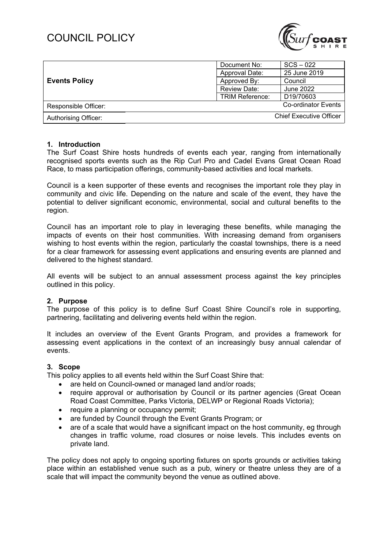## COUNCIL POLICY



| <b>Events Policy</b>        | Document No:           | $SCS - 022$                    |
|-----------------------------|------------------------|--------------------------------|
|                             | Approval Date:         | 25 June 2019                   |
|                             | Approved By:           | Council                        |
|                             | Review Date:           | June 2022                      |
|                             | <b>TRIM Reference:</b> | D19/70603                      |
| Responsible Officer:        |                        | Co-ordinator Events            |
| <b>Authorising Officer:</b> |                        | <b>Chief Executive Officer</b> |

#### **1. Introduction**

The Surf Coast Shire hosts hundreds of events each year, ranging from internationally recognised sports events such as the Rip Curl Pro and Cadel Evans Great Ocean Road Race, to mass participation offerings, community-based activities and local markets.

Council is a keen supporter of these events and recognises the important role they play in community and civic life. Depending on the nature and scale of the event, they have the potential to deliver significant economic, environmental, social and cultural benefits to the region.

Council has an important role to play in leveraging these benefits, while managing the impacts of events on their host communities. With increasing demand from organisers wishing to host events within the region, particularly the coastal townships, there is a need for a clear framework for assessing event applications and ensuring events are planned and delivered to the highest standard.

All events will be subject to an annual assessment process against the key principles outlined in this policy.

#### **2. Purpose**

The purpose of this policy is to define Surf Coast Shire Council's role in supporting, partnering, facilitating and delivering events held within the region.

It includes an overview of the Event Grants Program, and provides a framework for assessing event applications in the context of an increasingly busy annual calendar of events.

#### **3. Scope**

This policy applies to all events held within the Surf Coast Shire that:

- are held on Council-owned or managed land and/or roads;
- require approval or authorisation by Council or its partner agencies (Great Ocean Road Coast Committee, Parks Victoria, DELWP or Regional Roads Victoria);
- require a planning or occupancy permit;
- are funded by Council through the Event Grants Program; or
- are of a scale that would have a significant impact on the host community, eg through changes in traffic volume, road closures or noise levels. This includes events on private land.

The policy does not apply to ongoing sporting fixtures on sports grounds or activities taking place within an established venue such as a pub, winery or theatre unless they are of a scale that will impact the community beyond the venue as outlined above.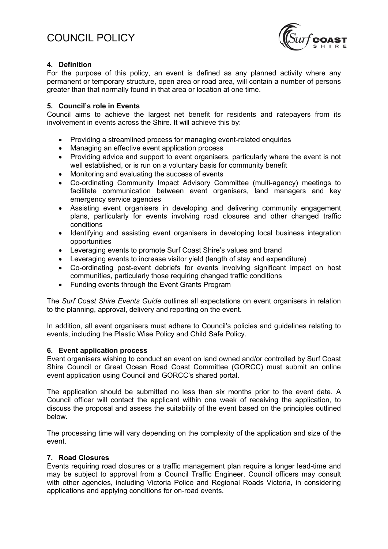

## **4. Definition**

For the purpose of this policy, an event is defined as any planned activity where any permanent or temporary structure, open area or road area, will contain a number of persons greater than that normally found in that area or location at one time.

## **5. Council's role in Events**

Council aims to achieve the largest net benefit for residents and ratepayers from its involvement in events across the Shire. It will achieve this by:

- Providing a streamlined process for managing event-related enquiries
- Managing an effective event application process
- Providing advice and support to event organisers, particularly where the event is not well established, or is run on a voluntary basis for community benefit
- Monitoring and evaluating the success of events
- Co-ordinating Community Impact Advisory Committee (multi-agency) meetings to facilitate communication between event organisers, land managers and key emergency service agencies
- Assisting event organisers in developing and delivering community engagement plans, particularly for events involving road closures and other changed traffic conditions
- Identifying and assisting event organisers in developing local business integration opportunities
- Leveraging events to promote Surf Coast Shire's values and brand
- Leveraging events to increase visitor yield (length of stay and expenditure)
- Co-ordinating post-event debriefs for events involving significant impact on host communities, particularly those requiring changed traffic conditions
- Funding events through the Event Grants Program

The *Surf Coast Shire Events Guide* outlines all expectations on event organisers in relation to the planning, approval, delivery and reporting on the event.

In addition, all event organisers must adhere to Council's policies and guidelines relating to events, including the Plastic Wise Policy and Child Safe Policy.

## **6. Event application process**

Event organisers wishing to conduct an event on land owned and/or controlled by Surf Coast Shire Council or Great Ocean Road Coast Committee (GORCC) must submit an online event application using Council and GORCC's shared portal.

The application should be submitted no less than six months prior to the event date. A Council officer will contact the applicant within one week of receiving the application, to discuss the proposal and assess the suitability of the event based on the principles outlined below.

The processing time will vary depending on the complexity of the application and size of the event.

## **7. Road Closures**

Events requiring road closures or a traffic management plan require a longer lead-time and may be subject to approval from a Council Traffic Engineer. Council officers may consult with other agencies, including Victoria Police and Regional Roads Victoria, in considering applications and applying conditions for on-road events.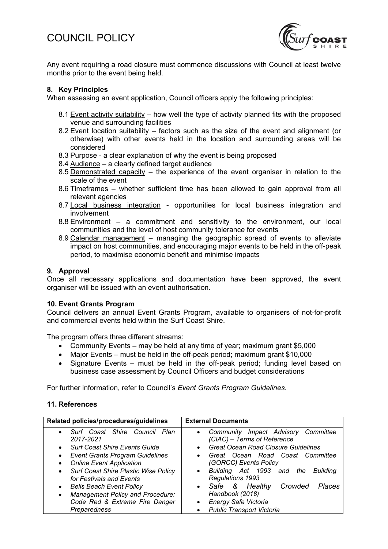## COUNCIL POLICY



Any event requiring a road closure must commence discussions with Council at least twelve months prior to the event being held.

## **8. Key Principles**

When assessing an event application, Council officers apply the following principles:

- 8.1 Event activity suitability how well the type of activity planned fits with the proposed venue and surrounding facilities
- 8.2 Event location suitability factors such as the size of the event and alignment (or otherwise) with other events held in the location and surrounding areas will be considered
- 8.3 Purpose a clear explanation of why the event is being proposed
- 8.4 Audience a clearly defined target audience
- 8.5 Demonstrated capacity the experience of the event organiser in relation to the scale of the event
- 8.6 Timeframes whether sufficient time has been allowed to gain approval from all relevant agencies
- 8.7 Local business integration opportunities for local business integration and involvement
- 8.8 Environment a commitment and sensitivity to the environment, our local communities and the level of host community tolerance for events
- 8.9 Calendar management managing the geographic spread of events to alleviate impact on host communities, and encouraging major events to be held in the off-peak period, to maximise economic benefit and minimise impacts

#### **9. Approval**

Once all necessary applications and documentation have been approved, the event organiser will be issued with an event authorisation.

## **10. Event Grants Program**

Council delivers an annual Event Grants Program, available to organisers of not-for-profit and commercial events held within the Surf Coast Shire.

The program offers three different streams:

- Community Events may be held at any time of year; maximum grant \$5,000
- Major Events must be held in the off-peak period; maximum grant \$10,000
- Signature Events must be held in the off-peak period; funding level based on business case assessment by Council Officers and budget considerations

For further information, refer to Council's *Event Grants Program Guidelines*.

#### **11. References**

| Related policies/procedures/guidelines                                        | <b>External Documents</b>                                                            |
|-------------------------------------------------------------------------------|--------------------------------------------------------------------------------------|
| Surf Coast Shire Council<br>Plan<br>$\bullet$<br>2017-2021                    | Community Impact Advisory Committee<br>$\bullet$<br>(CIAC) - Terms of Reference      |
| <b>Surf Coast Shire Events Guide</b><br>٠                                     | <b>Great Ocean Road Closure Guidelines</b><br>$\bullet$                              |
| <b>Event Grants Program Guidelines</b><br>٠                                   | Great Ocean Road Coast Committee<br>$\bullet$                                        |
| <b>Online Event Application</b><br>٠                                          | (GORCC) Events Policy                                                                |
| Surf Coast Shire Plastic Wise Policy<br>$\bullet$<br>for Festivals and Events | Building Act 1993 and the<br><b>Building</b><br>$\bullet$<br><b>Regulations 1993</b> |
| <b>Bells Beach Event Policy</b><br>$\bullet$                                  | • Safe & Healthy<br>Crowded<br>Places                                                |
| Management Policy and Procedure:<br>$\bullet$                                 | Handbook (2018)                                                                      |
| Code Red & Extreme Fire Danger                                                | Energy Safe Victoria<br>$\bullet$                                                    |
| Preparedness                                                                  | <b>Public Transport Victoria</b><br>$\bullet$                                        |